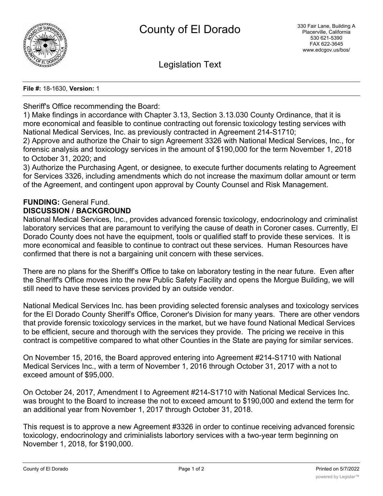

Legislation Text

#### **File #:** 18-1630, **Version:** 1

# Sheriff's Office recommending the Board:

1) Make findings in accordance with Chapter 3.13, Section 3.13.030 County Ordinance, that it is more economical and feasible to continue contracting out forensic toxicology testing services with National Medical Services, Inc. as previously contracted in Agreement 214-S1710;

2) Approve and authorize the Chair to sign Agreement 3326 with National Medical Services, Inc., for forensic analysis and toxicology services in the amount of \$190,000 for the term November 1, 2018 to October 31, 2020; and

3) Authorize the Purchasing Agent, or designee, to execute further documents relating to Agreement for Services 3326, including amendments which do not increase the maximum dollar amount or term of the Agreement, and contingent upon approval by County Counsel and Risk Management.

#### **FUNDING:** General Fund. **DISCUSSION / BACKGROUND**

National Medical Services, Inc., provides advanced forensic toxicology, endocrinology and criminalist laboratory services that are paramount to verifying the cause of death in Coroner cases. Currently, El Dorado County does not have the equipment, tools or qualified staff to provide these services. It is more economical and feasible to continue to contract out these services. Human Resources have confirmed that there is not a bargaining unit concern with these services.

There are no plans for the Sheriff's Office to take on laboratory testing in the near future. Even after the Sheriff's Office moves into the new Public Safety Facility and opens the Morgue Building, we will still need to have these services provided by an outside vendor.

National Medical Services Inc. has been providing selected forensic analyses and toxicology services for the El Dorado County Sheriff's Office, Coroner's Division for many years. There are other vendors that provide forensic toxicology services in the market, but we have found National Medical Services to be efficient, secure and thorough with the services they provide. The pricing we receive in this contract is competitive compared to what other Counties in the State are paying for similar services.

On November 15, 2016, the Board approved entering into Agreement #214-S1710 with National Medical Services Inc., with a term of November 1, 2016 through October 31, 2017 with a not to exceed amount of \$95,000.

On October 24, 2017, Amendment I to Agreement #214-S1710 with National Medical Services Inc. was brought to the Board to increase the not to exceed amount to \$190,000 and extend the term for an additional year from November 1, 2017 through October 31, 2018.

This request is to approve a new Agreement #3326 in order to continue receiving advanced forensic toxicology, endocrinology and criminialists labortory services with a two-year term beginning on November 1, 2018, for \$190,000.